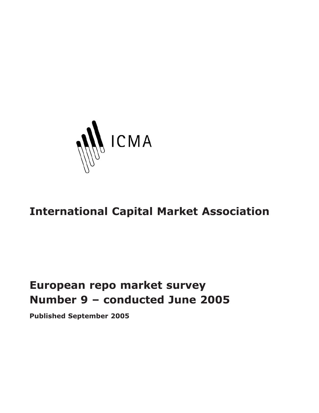

# **International Capital Market Association**

# **European repo market survey Number 9 – conducted June 2005**

**Published September 2005**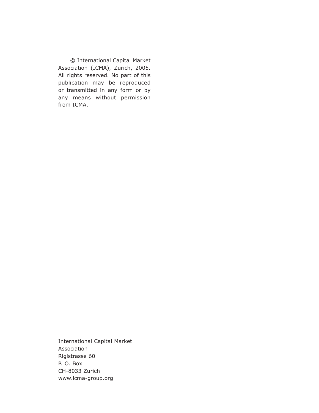© International Capital Market Association (ICMA), Zurich, 2005. All rights reserved. No part of this publication may be reproduced or transmitted in any form or by any means without permission from ICMA.

International Capital Market Association Rigistrasse 60 P. O. Box CH-8033 Zurich www.icma-group.org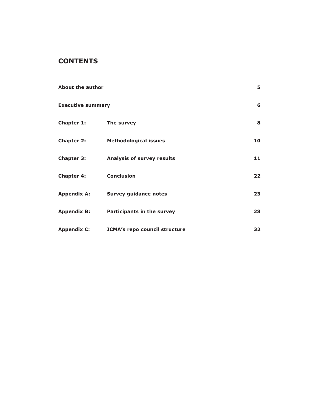# **CONTENTS**

| About the author         |                                      | 5. |
|--------------------------|--------------------------------------|----|
| <b>Executive summary</b> |                                      | 6  |
| Chapter 1:               | The survey                           | 8  |
| Chapter 2:               | <b>Methodological issues</b>         | 10 |
| <b>Chapter 3:</b>        | <b>Analysis of survey results</b>    | 11 |
| <b>Chapter 4:</b>        | <b>Conclusion</b>                    | 22 |
| <b>Appendix A:</b>       | <b>Survey guidance notes</b>         | 23 |
| <b>Appendix B:</b>       | Participants in the survey           | 28 |
| <b>Appendix C:</b>       | <b>ICMA's repo council structure</b> | 32 |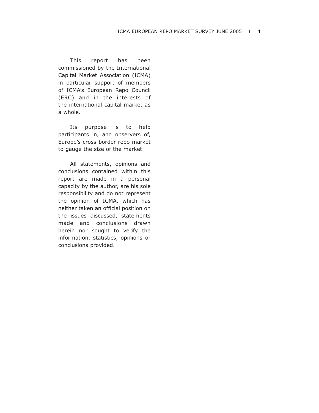This report has been commissioned by the International Capital Market Association (ICMA) in particular support of members of ICMA's European Repo Council (ERC) and in the interests of the international capital market as a whole.

Its purpose is to help participants in, and observers of, Europe's cross-border repo market to gauge the size of the market.

All statements, opinions and conclusions contained within this report are made in a personal capacity by the author, are his sole responsibility and do not represent the opinion of ICMA, which has neither taken an official position on the issues discussed, statements made and conclusions drawn herein nor sought to verify the information, statistics, opinions or conclusions provided.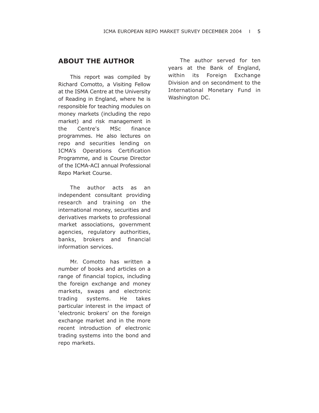# **ABOUT THE AUTHOR**

This report was compiled by Richard Comotto, a Visiting Fellow at the ISMA Centre at the University of Reading in England, where he is responsible for teaching modules on money markets (including the repo market) and risk management in the Centre's MSc finance programmes. He also lectures on repo and securities lending on ICMA's Operations Certification Programme, and is Course Director of the ICMA-ACI annual Professional Repo Market Course.

The author acts as an independent consultant providing research and training on the international money, securities and derivatives markets to professional market associations, government agencies, regulatory authorities, banks, brokers and financial information services.

Mr. Comotto has written a number of books and articles on a range of financial topics, including the foreign exchange and money markets, swaps and electronic trading systems. He takes particular interest in the impact of 'electronic brokers' on the foreign exchange market and in the more recent introduction of electronic trading systems into the bond and repo markets.

The author served for ten years at the Bank of England, within its Foreign Exchange Division and on secondment to the International Monetary Fund in Washington DC.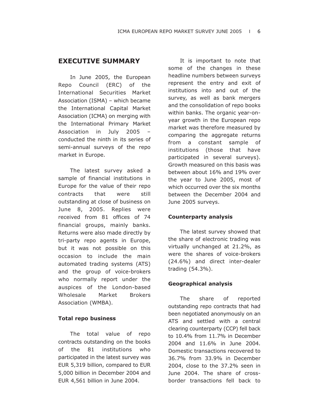# **EXECUTIVE SUMMARY**

In June 2005, the European Repo Council (ERC) of the International Securities Market Association (ISMA) – which became the International Capital Market Association (ICMA) on merging with the International Primary Market Association in July 2005 – conducted the ninth in its series of semi-annual surveys of the repo market in Europe.

The latest survey asked a sample of financial institutions in Europe for the value of their repo contracts that were still outstanding at close of business on June 8, 2005. Replies were received from 81 offices of 74 financial groups, mainly banks. Returns were also made directly by tri-party repo agents in Europe, but it was not possible on this occasion to include the main automated trading systems (ATS) and the group of voice-brokers who normally report under the auspices of the London-based Wholesale Market Brokers Association (WMBA).

## **Total repo business**

The total value of repo contracts outstanding on the books of the 81 institutions who participated in the latest survey was EUR 5,319 billion, compared to EUR 5,000 billion in December 2004 and EUR 4,561 billion in June 2004.

It is important to note that some of the changes in these headline numbers between surveys represent the entry and exit of institutions into and out of the survey, as well as bank mergers and the consolidation of repo books within banks. The organic year-onyear growth in the European repo market was therefore measured by comparing the aggregate returns from a constant sample of institutions (those that have participated in several surveys). Growth measured on this basis was between about 16% and 19% over the year to June 2005, most of which occurred over the six months between the December 2004 and June 2005 surveys.

#### **Counterparty analysis**

The latest survey showed that the share of electronic trading was virtually unchanged at 21.2%, as were the shares of voice-brokers (24.6%) and direct inter-dealer trading (54.3%).

#### **Geographical analysis**

The share of reported outstanding repo contracts that had been negotiated anonymously on an ATS and settled with a central clearing counterparty (CCP) fell back to 10.4% from 11.7% in December 2004 and 11.6% in June 2004. Domestic transactions recovered to 36.7% from 33.9% in December 2004, close to the 37.2% seen in June 2004. The share of crossborder transactions fell back to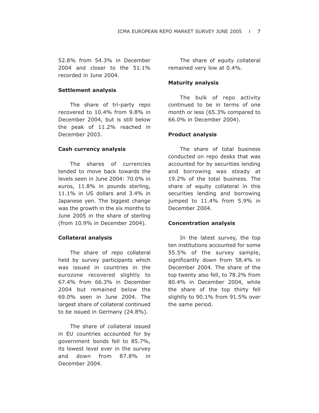52.8% from 54.3% in December 2004 and closer to the 51.1% recorded in June 2004.

#### **Settlement analysis**

The share of tri-party repo recovered to 10.4% from 9.8% in December 2004, but is still below the peak of 11.2% reached in December 2003.

#### **Cash currency analysis**

The shares of currencies tended to move back towards the levels seen in June 2004: 70.0% in euros, 11.8% in pounds sterling, 11.1% in US dollars and 3.4% in Japanese yen. The biggest change was the growth in the six months to June 2005 in the share of sterling (from 10.9% in December 2004).

#### **Collateral analysis**

The share of repo collateral held by survey participants which was issued in countries in the eurozone recovered slightly to 67.4% from 66.3% in December 2004 but remained below the 69.0% seen in June 2004. The largest share of collateral continued to be issued in Germany (24.8%).

The share of collateral issued in EU countries accounted for by government bonds fell to 85.7%, its lowest level ever in the survey and down from 87.8% in December 2004.

The share of equity collateral remained very low at 0.4%.

#### **Maturity analysis**

The bulk of repo activity continued to be in terms of one month or less (65.3% compared to 66.0% in December 2004).

#### **Product analysis**

The share of total business conducted on repo desks that was accounted for by securities lending and borrowing was steady at 19.2% of the total business. The share of equity collateral in this securities lending and borrowing jumped to 11.4% from 5.9% in December 2004.

#### **Concentration analysis**

In the latest survey, the top ten institutions accounted for some 55.5% of the survey sample, significantly down from 58.4% in December 2004. The share of the top twenty also fell, to 78.2% from 80.4% in December 2004, while the share of the top thirty fell slightly to 90.1% from 91.5% over the same period.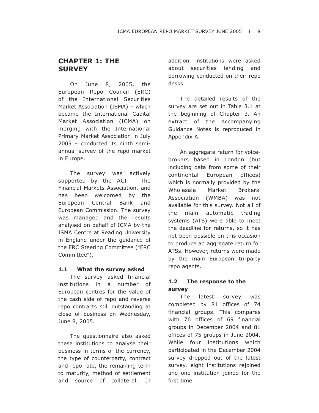# **CHAPTER 1: THE SURVEY**

On June 8, 2005, the European Repo Council (ERC) of the International Securities Market Association (ISMA) – which became the International Capital Market Association (ICMA) on merging with the International Primary Market Association in July 2005 – conducted its ninth semiannual survey of the repo market in Europe.

The survey was actively supported by the ACI – The Financial Markets Association, and has been welcomed by the European Central Bank and European Commission. The survey was managed and the results analysed on behalf of ICMA by the ISMA Centre at Reading University in England under the guidance of the ERC Steering Committee ("ERC Committee").

## **1.1 What the survey asked**

The survey asked financial institutions in a number of European centres for the value of the cash side of repo and reverse repo contracts still outstanding at close of business on Wednesday, June 8, 2005.

The questionnaire also asked these institutions to analyse their business in terms of the currency, the type of counterparty, contract and repo rate, the remaining term to maturity, method of settlement and source of collateral. In addition, institutions were asked about securities lending and borrowing conducted on their repo desks.

The detailed results of the survey are set out in Table 3.1 at the beginning of Chapter 3. An extract of the accompanying Guidance Notes is reproduced in Appendix A.

An aggregate return for voicebrokers based in London (but including data from some of their continental European offices) which is normally provided by the Wholesale Market Brokers' Association (WMBA) was not available for this survey. Not all of the main automatic trading systems (ATS) were able to meet the deadline for returns, so it has not been possible on this occasion to produce an aggregate return for ATSs. However, returns were made by the main European tri-party repo agents.

# **1.2 The response to the survey**

The latest survey was completed by 81 offices of 74 financial groups. This compares with 76 offices of 69 financial groups in December 2004 and 81 offices of 75 groups in June 2004. While four institutions which participated in the December 2004 survey dropped out of the latest survey, eight institutions rejoined and one institution joined for the first time.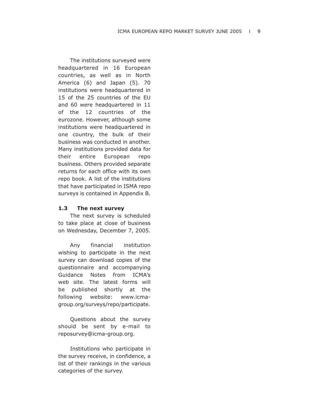The institutions surveyed were headquartered in 16 European countries, as well as in North America (6) and Japan (5). 70 institutions were headquartered in 15 of the 25 countries of the EU and 60 were headquartered in 11 of the 12 countries of the eurozone. However, although some institutions were headquartered in one country, the bulk of their business was conducted in another. Many institutions provided data for their entire European repo business. Others provided separate returns for each office with its own repo book. A list of the institutions that have participated in ISMA repo surveys is contained in Appendix B.

## **1.3 The next survey**

The next survey is scheduled to take place at close of business on Wednesday, December 7, 2005.

Any financial institution wishing to participate in the next survey can download copies of the questionnaire and accompanying Guidance Notes from ICMA's web site. The latest forms will be published shortly at the following website: www.icmagroup.org/surveys/repo/participate.

Questions about the survey should be sent by e-mail to reposurvey@icma-group.org.

Institutions who participate in the survey receive, in confidence, a list of their rankings in the various categories of the survey.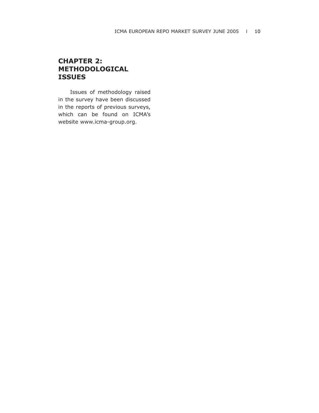# **CHAPTER 2: METHODOLOGICAL ISSUES**

Issues of methodology raised in the survey have been discussed in the reports of previous surveys, which can be found on ICMA's website www.icma-group.org.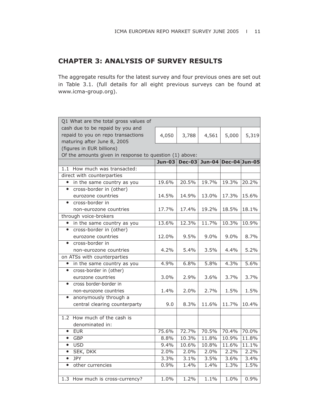# **CHAPTER 3: ANALYSIS OF SURVEY RESULTS**

The aggregate results for the latest survey and four previous ones are set out in Table 3.1. (full details for all eight previous surveys can be found at www.icma-group.org).

|           | Q1 What are the total gross values of                                  |         |                                    |         |         |       |
|-----------|------------------------------------------------------------------------|---------|------------------------------------|---------|---------|-------|
|           | cash due to be repaid by you and<br>repaid to you on repo transactions |         |                                    |         |         |       |
|           | maturing after June 8, 2005                                            | 4,050   | 3,788                              | 4,561   | 5,000   | 5,319 |
|           | (figures in EUR billions)                                              |         |                                    |         |         |       |
|           |                                                                        |         |                                    |         |         |       |
|           | Of the amounts given in response to question (1) above:                |         | Jun-03 Dec-03 Jun-04 Dec-04 Jun-05 |         |         |       |
|           | 1.1 How much was transacted:                                           |         |                                    |         |         |       |
|           |                                                                        |         |                                    |         |         |       |
|           | direct with counterparties                                             |         |                                    |         |         |       |
| $\bullet$ | in the same country as you                                             | 19.6%   | 20.5%                              | 19.7%   | 19.3%   | 20.2% |
| $\bullet$ | cross-border in (other)                                                |         |                                    |         |         |       |
|           | eurozone countries                                                     | 14.5%   | 14.9%                              | 13.0%   | 17.3%   | 15.6% |
| $\bullet$ | cross-border in                                                        |         |                                    |         |         |       |
|           | non-eurozone countries                                                 | 17.7%   | 17.4%                              | 19.2%   | 18.5%   | 18.1% |
|           | through voice-brokers                                                  |         |                                    |         |         |       |
|           | in the same country as you                                             | 13.6%   | 12.3%                              | 11.7%   | 10.3%   | 10.9% |
| $\bullet$ | cross-border in (other)                                                |         |                                    |         |         |       |
|           | eurozone countries                                                     | 12.0%   | 9.5%                               | $9.0\%$ | $9.0\%$ | 8.7%  |
| $\bullet$ | cross-border in                                                        |         |                                    |         |         |       |
|           | non-eurozone countries                                                 | 4.2%    | 5.4%                               | 3.5%    | 4.4%    | 5.2%  |
|           | on ATSs with counterparties                                            |         |                                    |         |         |       |
| $\bullet$ | in the same country as you                                             | 4.9%    | 6.8%                               | 5.8%    | 4.3%    | 5.6%  |
| $\bullet$ | cross-border in (other)                                                |         |                                    |         |         |       |
|           | eurozone countries                                                     | $3.0\%$ | 2.9%                               | $3.6\%$ | 3.7%    | 3.7%  |
| $\bullet$ | cross border-border in                                                 |         |                                    |         |         |       |
|           | non-eurozone countries                                                 | 1.4%    | 2.0%                               | 2.7%    | 1.5%    | 1.5%  |
| $\bullet$ | anonymously through a                                                  |         |                                    |         |         |       |
|           | central clearing counterparty                                          | 9.0     | 8.3%                               | 11.6%   | 11.7%   | 10.4% |
|           |                                                                        |         |                                    |         |         |       |
|           | 1.2 How much of the cash is                                            |         |                                    |         |         |       |
|           | denominated in:                                                        |         |                                    |         |         |       |
| $\bullet$ | <b>EUR</b>                                                             | 75.6%   | 72.7%                              | 70.5%   | 70.4%   | 70.0% |
| $\bullet$ | <b>GBP</b>                                                             | 8.8%    | 10.3%                              | 11.8%   | 10.9%   | 11.8% |
| $\bullet$ | <b>USD</b>                                                             | 9.4%    | 10.6%                              | 10.8%   | 11.6%   | 11.1% |
| $\bullet$ | <b>SEK, DKK</b>                                                        | 2.0%    | 2.0%                               | 2.0%    | 2.2%    | 2.2%  |
| $\bullet$ | <b>JPY</b>                                                             | 3.3%    | 3.1%                               | 3.5%    | 3.6%    | 3.4%  |
| $\bullet$ | other currencies                                                       | 0.9%    | 1.4%                               | 1.4%    | 1.3%    | 1.5%  |
|           |                                                                        |         |                                    |         |         |       |
|           | 1.3 How much is cross-currency?                                        | 1.0%    | 1.2%                               | 1.1%    | 1.0%    | 0.9%  |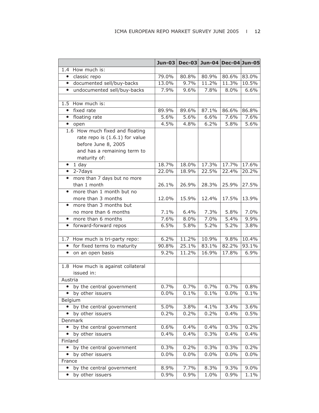|           |                                    | $Jun-03$ |       | Dec-03 Jun-04 Dec-04 Jun-05 |       |         |
|-----------|------------------------------------|----------|-------|-----------------------------|-------|---------|
|           | 1.4 How much is:                   |          |       |                             |       |         |
| $\bullet$ | classic repo                       | 79.0%    | 80.8% | 80.9%                       | 80.6% | 83.0%   |
| $\bullet$ | documented sell/buy-backs          | 13.0%    | 9.7%  | 11.2%                       | 11.3% | 10.5%   |
| $\bullet$ | undocumented sell/buy-backs        | 7.9%     | 9.6%  | 7.8%                        | 8.0%  | 6.6%    |
|           |                                    |          |       |                             |       |         |
|           | 1.5 How much is:                   |          |       |                             |       |         |
| $\bullet$ | fixed rate                         | 89.9%    | 89.6% | 87.1%                       | 86.6% | 86.8%   |
| $\bullet$ | floating rate                      | 5.6%     | 5.6%  | 6.6%                        | 7.6%  | 7.6%    |
| $\bullet$ | open                               | 4.5%     | 4.8%  | 6.2%                        | 5.8%  | 5.6%    |
|           | 1.6 How much fixed and floating    |          |       |                             |       |         |
|           | rate repo is (1.6.1) for value     |          |       |                             |       |         |
|           | before June 8, 2005                |          |       |                             |       |         |
|           | and has a remaining term to        |          |       |                             |       |         |
|           | maturity of:                       |          |       |                             |       |         |
| $\bullet$ | 1 day                              | 18.7%    | 18.0% | 17.3%                       | 17.7% | 17.6%   |
| $\bullet$ | 2-7days                            | 22.0%    | 18.9% | 22.5%                       | 22.4% | 20.2%   |
| $\bullet$ | more than 7 days but no more       |          |       |                             |       |         |
|           | than 1 month                       | 26.1%    | 26.9% | 28.3%                       | 25.9% | 27.5%   |
| $\bullet$ | more than 1 month but no           |          |       |                             |       |         |
|           | more than 3 months                 | 12.0%    | 15.9% | 12.4%                       | 17.5% | 13.9%   |
| $\bullet$ | more than 3 months but             |          |       |                             |       |         |
|           | no more than 6 months              | 7.1%     | 6.4%  | 7.3%                        | 5.8%  | 7.0%    |
| $\bullet$ | more than 6 months                 | 7.6%     | 8.0%  | 7.0%                        | 5.4%  | 9.9%    |
| $\bullet$ | forward-forward repos              | 6.5%     | 5.8%  | 5.2%                        | 5.2%  | 3.8%    |
| 1.7       | How much is tri-party repo:        | 6.2%     | 11.2% | 10.9%                       | 9.8%  | 10.4%   |
| $\bullet$ | for fixed terms to maturity        | 90.8%    | 25.1% | 83.1%                       | 82.2% | 93.1%   |
| $\bullet$ | on an open basis                   | 9.2%     | 11.2% | 16.9%                       | 17.8% | 6.9%    |
|           |                                    |          |       |                             |       |         |
|           | 1.8 How much is against collateral |          |       |                             |       |         |
|           | issued in:                         |          |       |                             |       |         |
| Austria   |                                    |          |       |                             |       |         |
| $\bullet$ | by the central government          | 0.7%     | 0.7%  | 0.7%                        | 0.7%  | 0.8%    |
| $\bullet$ | by other issuers                   | 0.0%     | 0.1%  | 0.1%                        | 0.0%  | 0.1%    |
|           | Belgium                            |          |       |                             |       |         |
|           | by the central government          | 5.0%     | 3.8%  | 4.1%                        | 3.4%  | 3.6%    |
|           | by other issuers                   | 0.2%     | 0.2%  | 0.2%                        | 0.4%  | 0.5%    |
|           | Denmark                            |          |       |                             |       |         |
| $\bullet$ | by the central government          | 0.6%     | 0.4%  | 0.4%                        | 0.3%  | 0.2%    |
| $\bullet$ | by other issuers                   | 0.4%     | 0.4%  | 0.3%                        | 0.4%  | 0.4%    |
| Finland   |                                    |          |       |                             |       |         |
| $\bullet$ | by the central government          | 0.3%     | 0.2%  | 0.3%                        | 0.3%  | 0.2%    |
|           | by other issuers                   | 0.0%     | 0.0%  | 0.0%                        | 0.0%  | 0.0%    |
| France    |                                    |          |       |                             |       |         |
| $\bullet$ | by the central government          | 8.9%     | 7.7%  | 8.3%                        | 9.3%  | $9.0\%$ |
| $\bullet$ | by other issuers                   | 0.9%     | 0.9%  | 1.0%                        | 0.9%  | 1.1%    |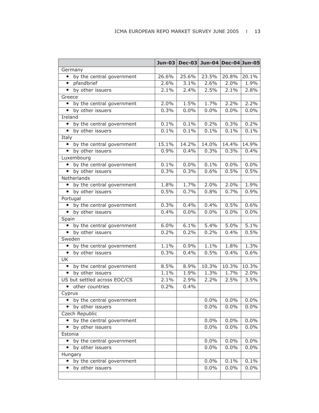|                                        | $Jun-03$ |       | Dec-03 Jun-04 Dec-04 Jun-05 |       |         |
|----------------------------------------|----------|-------|-----------------------------|-------|---------|
| Germany                                |          |       |                             |       |         |
| • by the central government            | 26.6%    | 25.6% | 23.5%                       | 20.8% | 20.1%   |
| • pfandbrief                           | 2.6%     | 3.1%  | 2.6%                        | 2.0%  | 1.9%    |
| • by other issuers                     | 2.1%     | 2.4%  | 2.5%                        | 2.1%  | 2.8%    |
| Greece                                 |          |       |                             |       |         |
| by the central government<br>$\bullet$ | 2.0%     | 1.5%  | 1.7%                        | 2.2%  | 2.2%    |
| • by other issuers                     | 0.3%     | 0.0%  | 0.0%                        | 0.0%  | 0.0%    |
| Ireland                                |          |       |                             |       |         |
| by the central government              | 0.1%     | 0.1%  | 0.2%                        | 0.3%  | 0.2%    |
| • by other issuers                     | 0.1%     | 0.1%  | 0.1%                        | 0.1%  | 0.1%    |
| Italy                                  |          |       |                             |       |         |
| by the central government<br>$\bullet$ | 15.1%    | 14.2% | 14.0%                       | 14.4% | 14.9%   |
| • by other issuers                     | 0.9%     | 0.4%  | 0.3%                        | 0.3%  | 0.4%    |
| Luxembourg                             |          |       |                             |       |         |
| by the central government              | 0.1%     | 0.0%  | 0.1%                        | 0.0%  | 0.0%    |
| • by other issuers                     | 0.3%     | 0.3%  | 0.6%                        | 0.5%  | 0.5%    |
| Netherlands                            |          |       |                             |       |         |
| by the central government<br>$\bullet$ | 1.8%     | 1.7%  | 2.0%                        | 2.0%  | 1.9%    |
| • by other issuers                     | 0.5%     | 0.7%  | 0.8%                        | 0.7%  | 0.9%    |
| Portugal                               |          |       |                             |       |         |
| • by the central government            | 0.3%     | 0.4%  | 0.4%                        | 0.5%  | 0.6%    |
| • by other issuers                     | 0.4%     | 0.0%  | 0.0%                        | 0.0%  | 0.0%    |
| Spain                                  |          |       |                             |       |         |
| by the central government<br>$\bullet$ | 6.0%     | 6.1%  | 5.4%                        | 5.0%  | 5.1%    |
| • by other issuers                     | 0.2%     | 0.2%  | 0.2%                        | 0.4%  | 0.5%    |
| Sweden                                 |          |       |                             |       |         |
| by the central government              | 1.1%     | 0.9%  | 1.1%                        | 1.8%  | 1.3%    |
| • by other issuers                     | 0.3%     | 0.4%  | 0.5%                        | 0.4%  | 0.6%    |
| UK                                     |          |       |                             |       |         |
| by the central government<br>$\bullet$ | 8.5%     | 8.9%  | 10.3%                       | 10.3% | 10.3%   |
| • by other issuers                     | 1.1%     | 1.9%  | 1.3%                        | 1.7%  | 2.0%    |
| US but settled across EOC/CS           | 2.1%     | 2.9%  | 2.2%                        | 2.5%  | 3.5%    |
| other countries<br>$\bullet$           | 0.2%     | 0.4%  |                             |       |         |
| Cyprus                                 |          |       |                             |       |         |
| by the central government<br>$\bullet$ |          |       | 0.0%                        | 0.0%  | 0.0%    |
| by other issuers<br>$\bullet$          |          |       | 0.0%                        | 0.0%  | 0.0%    |
| Czech Republic                         |          |       |                             |       |         |
| by the central government              |          |       | 0.0%                        | 0.0%  | 0.0%    |
| by other issuers                       |          |       | 0.0%                        | 0.0%  | 0.0%    |
| Estonia                                |          |       |                             |       |         |
| by the central government<br>$\bullet$ |          |       | 0.0%                        | 0.0%  | 0.0%    |
| by other issuers<br>$\bullet$          |          |       | 0.0%                        | 0.0%  | $0.0\%$ |
| Hungary                                |          |       |                             |       |         |
| by the central government              |          |       | 0.0%                        | 0.1%  | 0.1%    |
| by other issuers                       |          |       | 0.0%                        | 0.0%  | 0.0%    |
|                                        |          |       |                             |       |         |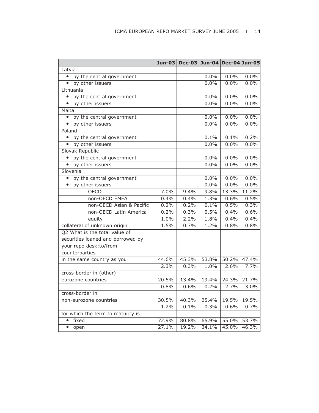|                                        |       | Jun-03 Dec-03 Jun-04 Dec-04 Jun-05 |       |         |         |
|----------------------------------------|-------|------------------------------------|-------|---------|---------|
| Latvia                                 |       |                                    |       |         |         |
| • by the central government            |       |                                    | 0.0%  | $0.0\%$ | $0.0\%$ |
| • by other issuers                     |       |                                    | 0.0%  | $0.0\%$ | $0.0\%$ |
| Lithuania                              |       |                                    |       |         |         |
| • by the central government            |       |                                    | 0.0%  | 0.0%    | 0.0%    |
| by other issuers<br>$\bullet$          |       |                                    | 0.0%  | $0.0\%$ | 0.0%    |
| Malta                                  |       |                                    |       |         |         |
| by the central government<br>$\bullet$ |       |                                    | 0.0%  | 0.0%    | 0.0%    |
| • by other issuers                     |       |                                    | 0.0%  | 0.0%    | $0.0\%$ |
| Poland                                 |       |                                    |       |         |         |
| • by the central government            |       |                                    | 0.1%  | 0.1%    | 0.2%    |
| • by other issuers                     |       |                                    | 0.0%  | $0.0\%$ | $0.0\%$ |
| Slovak Republic                        |       |                                    |       |         |         |
| by the central government<br>$\bullet$ |       |                                    | 0.0%  | 0.0%    | 0.0%    |
| • by other issuers                     |       |                                    | 0.0%  | 0.0%    | 0.0%    |
| Slovenia                               |       |                                    |       |         |         |
| by the central government<br>$\bullet$ |       |                                    | 0.0%  | $0.0\%$ | 0.0%    |
| by other issuers<br>$\bullet$          |       |                                    | 0.0%  | $0.0\%$ | 0.0%    |
| <b>OECD</b>                            | 7.0%  | 9.4%                               | 9.8%  | 13.3%   | 11.2%   |
| non-OECD EMEA                          | 0.4%  | 0.4%                               | 1.3%  | 0.6%    | 0.5%    |
| non-OECD Asian & Pacific               | 0.2%  | 0.2%                               | 0.1%  | 0.5%    | 0.3%    |
| non-OECD Latin America                 | 0.2%  | 0.3%                               | 0.5%  | 0.4%    | 0.6%    |
| equity                                 | 1.0%  | 2.2%                               | 1.8%  | 0.4%    | 0.4%    |
| collateral of unknown origin           | 1.5%  | 0.7%                               | 1.2%  | 0.8%    | 0.8%    |
| Q2 What is the total value of          |       |                                    |       |         |         |
| securities loaned and borrowed by      |       |                                    |       |         |         |
| your repo desk:to/from                 |       |                                    |       |         |         |
| counterparties                         |       |                                    |       |         |         |
| in the same country as you             | 44.6% | 45.3%                              | 53.8% | 50.2%   | 47.4%   |
|                                        | 2.3%  | 0.3%                               | 1.0%  | 2.6%    | 7.7%    |
| cross-border in (other)                |       |                                    |       |         |         |
| eurozone countries                     | 20.5% | 13.4%                              | 19.4% | 24.3%   | 21.7%   |
|                                        | 0.8%  | 0.6%                               | 0.2%  | 2.7%    | 3.0%    |
| cross-border in                        |       |                                    |       |         |         |
| non-eurozone countries                 | 30.5% | 40.3%                              | 25.4% | 19.5%   | 19.5%   |
|                                        | 1.2%  | 0.1%                               | 0.3%  | 0.6%    | 0.7%    |
| for which the term to maturity is      |       |                                    |       |         |         |
| $\bullet$<br>fixed                     | 72.9% | 80.8%                              | 65.9% | 55.0%   | 53.7%   |
| $\bullet$<br>open                      | 27.1% | 19.2%                              | 34.1% | 45.0%   | 46.3%   |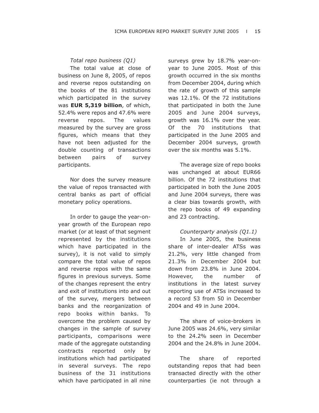## *Total repo business (Q1)*

The total value at close of business on June 8, 2005, of repos and reverse repos outstanding on the books of the 81 institutions which participated in the survey was **EUR 5,319 billion**, of which, 52.4% were repos and 47.6% were reverse repos. The values measured by the survey are gross figures, which means that they have not been adjusted for the double counting of transactions between pairs of survey participants.

Nor does the survey measure the value of repos transacted with central banks as part of official monetary policy operations.

In order to gauge the year-onyear growth of the European repo market (or at least of that segment represented by the institutions which have participated in the survey), it is not valid to simply compare the total value of repos and reverse repos with the same figures in previous surveys. Some of the changes represent the entry and exit of institutions into and out of the survey, mergers between banks and the reorganization of repo books within banks. To overcome the problem caused by changes in the sample of survey participants, comparisons were made of the aggregate outstanding contracts reported only by institutions which had participated in several surveys. The repo business of the 31 institutions which have participated in all nine surveys grew by 18.7% year-onyear to June 2005. Most of this growth occurred in the six months from December 2004, during which the rate of growth of this sample was 12.1%. Of the 72 institutions that participated in both the June 2005 and June 2004 surveys, growth was 16.1% over the year. Of the 70 institutions that participated in the June 2005 and December 2004 surveys, growth over the six months was 5.1%.

The average size of repo books was unchanged at about EUR66 billion. Of the 72 institutions that participated in both the June 2005 and June 2004 surveys, there was a clear bias towards growth, with the repo books of 49 expanding and 23 contracting.

## *Counterparty analysis (Q1.1)*

In June 2005, the business share of inter-dealer ATSs was 21.2%, very little changed from 21.3% in December 2004 but down from 23.8% in June 2004. However, the number of institutions in the latest survey reporting use of ATSs increased to a record 53 from 50 in December 2004 and 49 in June 2004.

The share of voice-brokers in June 2005 was 24.6%, very similar to the 24.2% seen in December 2004 and the 24.8% in June 2004.

The share of reported outstanding repos that had been transacted directly with the other counterparties (ie not through a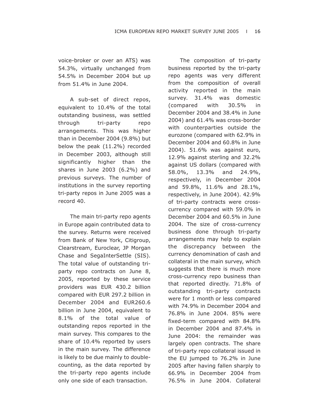voice-broker or over an ATS) was 54.3%, virtually unchanged from 54.5% in December 2004 but up from 51.4% in June 2004.

A sub-set of direct repos, equivalent to 10.4% of the total outstanding business, was settled through tri-party repo arrangements. This was higher than in December 2004 (9.8%) but below the peak (11.2%) recorded in December 2003, although still significantly higher than the shares in June 2003 (6.2%) and previous surveys. The number of institutions in the survey reporting tri-party repos in June 2005 was a record 40.

The main tri-party repo agents in Europe again contributed data to the survey. Returns were received from Bank of New York, Citigroup, Clearstream, Euroclear, JP Morgan Chase and SegaInterSettle (SIS). The total value of outstanding triparty repo contracts on June 8, 2005, reported by these service providers was EUR 430.2 billion compared with EUR 297.2 billion in December 2004 and EUR260.6 billion in June 2004, equivalent to 8.1% of the total value of outstanding repos reported in the main survey. This compares to the share of 10.4% reported by users in the main survey. The difference is likely to be due mainly to doublecounting, as the data reported by the tri-party repo agents include only one side of each transaction.

The composition of tri-party business reported by the tri-party repo agents was very different from the composition of overall activity reported in the main survey. 31.4% was domestic (compared with 30.5% in December 2004 and 38.4% in June 2004) and 61.4% was cross-border with counterparties outside the eurozone (compared with 62.9% in December 2004 and 60.8% in June 2004). 51.6% was against euro, 12.9% against sterling and 32.2% against US dollars (compared with 58.0%, 13.3% and 24.9%, respectively, in December 2004 and 59.8%, 11.6% and 28.1%, respectively, in June 2004). 42.9% of tri-party contracts were crosscurrency compared with 59.0% in December 2004 and 60.5% in June 2004. The size of cross-currency business done through tri-party arrangements may help to explain the discrepancy between the currency denomination of cash and collateral in the main survey, which suggests that there is much more cross-currency repo business than that reported directly. 71.8% of outstanding tri-party contracts were for 1 month or less compared with 74.9% in December 2004 and 76.8% in June 2004. 85% were fixed-term compared with 84.8% in December 2004 and 87.4% in June 2004: the remainder was largely open contracts. The share of tri-party repo collateral issued in the EU jumped to 76.2% in June 2005 after having fallen sharply to 66.9% in December 2004 from 76.5% in June 2004. Collateral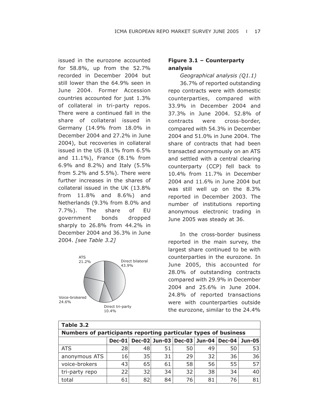issued in the eurozone accounted for 58.8%, up from the 52.7% recorded in December 2004 but still lower than the 64.9% seen in June 2004. Former Accession countries accounted for just 1.3% of collateral in tri-party repos. There were a continued fall in the share of collateral issued in Germany (14.9% from 18.0% in December 2004 and 27.2% in June 2004), but recoveries in collateral issued in the US (8.1% from 6.5% and 11.1%), France (8.1% from 6.9% and 8.2%) and Italy (5.5% from 5.2% and 5.5%). There were further increases in the shares of collateral issued in the UK (13.8% from 11.8% and 8.6%) and Netherlands (9.3% from 8.0% and 7.7%). The share of EU government bonds dropped sharply to 26.8% from 44.2% in December 2004 and 36.3% in June 2004. *[see Table 3.2]*



# **Figure 3.1 – Counterparty analysis**

*Geographical analysis (Q1.1)*

36.7% of reported outstanding repo contracts were with domestic counterparties, compared with 33.9% in December 2004 and 37.3% in June 2004. 52.8% of contracts were cross-border, compared with 54.3% in December 2004 and 51.0% in June 2004. The share of contracts that had been transacted anonymously on an ATS and settled with a central clearing counterparty (CCP) fell back to 10.4% from 11.7% in December 2004 and 11.6% in June 2004 but was still well up on the 8.3% reported in December 2003. The number of institutions reporting anonymous electronic trading in June 2005 was steady at 36.

In the cross-border business reported in the main survey, the largest share continued to be with counterparties in the eurozone. In June 2005, this accounted for 28.0% of outstanding contracts compared with 29.9% in December 2004 and 25.6% in June 2004. 24.8% of reported transactions were with counterparties outside the eurozone, similar to the 24.4%

| Table 3.2                                                      |    |    |    |    |    |    |    |  |  |  |
|----------------------------------------------------------------|----|----|----|----|----|----|----|--|--|--|
| Numbers of participants reporting particular types of business |    |    |    |    |    |    |    |  |  |  |
| Dec-02 Jun-03 Dec-03 Jun-04 Dec-04<br>$Dec-01$<br>Jun-05       |    |    |    |    |    |    |    |  |  |  |
| <b>ATS</b>                                                     | 28 | 48 | 51 | 50 | 49 | 50 | 53 |  |  |  |
| anonymous ATS                                                  | 16 | 35 | 31 | 29 | 32 | 36 | 36 |  |  |  |
| voice-brokers                                                  | 43 | 65 | 61 | 58 | 56 | 55 | 57 |  |  |  |
| tri-party repo                                                 | 22 | 32 | 34 | 32 | 38 | 34 | 40 |  |  |  |
| total                                                          | 61 | 82 | 84 | 76 | 81 | 76 | 81 |  |  |  |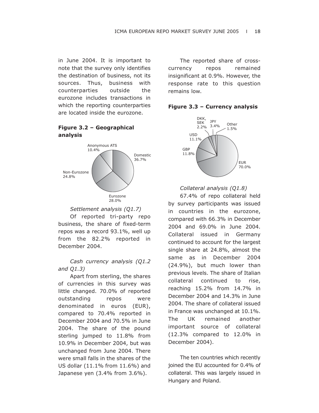in June 2004. It is important to note that the survey only identifies the destination of business, not its sources. Thus, business with counterparties outside the eurozone includes transactions in which the reporting counterparties are located inside the eurozone.

# **Figure 3.2 – Geographical analysis**





Of reported tri-party repo business, the share of fixed-term repos was a record 93.1%, well up from the 82.2% reported in December 2004.

## *Cash currency analysis (Q1.2 and Q1.3)*

Apart from sterling, the shares of currencies in this survey was little changed. 70.0% of reported outstanding repos were denominated in euros (EUR), compared to 70.4% reported in December 2004 and 70.5% in June 2004. The share of the pound sterling jumped to 11.8% from 10.9% in December 2004, but was unchanged from June 2004. There were small falls in the shares of the US dollar (11.1% from 11.6%) and Japanese yen (3.4% from 3.6%).

The reported share of crosscurrency repos remained insignificant at 0.9%. However, the response rate to this question remains low.





*Collateral analysis (Q1.8)*

67.4% of repo collateral held by survey participants was issued in countries in the eurozone, compared with 66.3% in December 2004 and 69.0% in June 2004. Collateral issued in Germany continued to account for the largest single share at 24.8%, almost the same as in December 2004 (24.9%), but much lower than previous levels. The share of Italian collateral continued to rise, reaching 15.2% from 14.7% in December 2004 and 14.3% in June 2004. The share of collateral issued in France was unchanged at 10.1%. The UK remained another important source of collateral (12.3% compared to 12.0% in December 2004).

The ten countries which recently joined the EU accounted for 0.4% of collateral. This was largely issued in Hungary and Poland.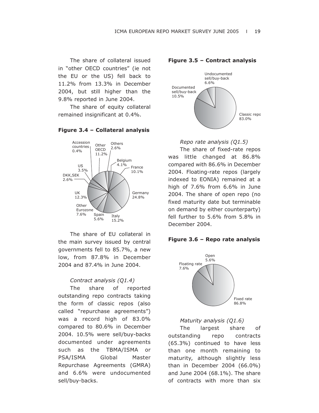The share of collateral issued in "other OECD countries" (ie not the EU or the US) fell back to 11.2% from 13.3% in December 2004, but still higher than the 9.8% reported in June 2004.

The share of equity collateral remained insignificant at 0.4%.



**Figure 3.4 – Collateral analysis** 

The share of EU collateral in the main survey issued by central governments fell to 85.7%, a new low, from 87.8% in December 2004 and 87.4% in June 2004.

## *Contract analysis (Q1.4)*

The share of reported outstanding repo contracts taking the form of classic repos (also called "repurchase agreements") was a record high of 83.0% compared to 80.6% in December 2004. 10.5% were sell/buy-backs documented under agreements such as the TBMA/ISMA or PSA/ISMA Global Master Repurchase Agreements (GMRA) and 6.6% were undocumented sell/buy-backs.



## **Figure 3.5 – Contract analysis**



The share of fixed-rate repos was little changed at 86.8% compared with 86.6% in December 2004. Floating-rate repos (largely indexed to EONIA) remained at a high of 7.6% from 6.6% in June 2004. The share of open repo (no fixed maturity date but terminable on demand by either counterparty) fell further to 5.6% from 5.8% in December 2004.

#### **Figure 3.6 – Repo rate analysis**



## *Maturity analysis (Q1.6)*

The largest share of outstanding repo contracts (65.3%) continued to have less than one month remaining to maturity, although slightly less than in December 2004 (66.0%) and June 2004 (68.1%). The share of contracts with more than six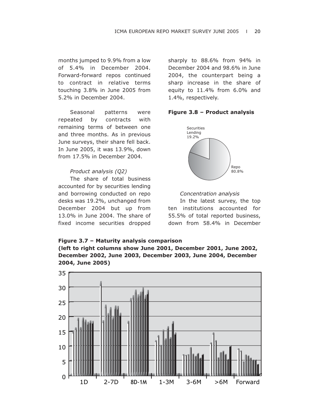months jumped to 9.9% from a low of 5.4% in December 2004. Forward-forward repos continued to contract in relative terms touching 3.8% in June 2005 from 5.2% in December 2004.

Seasonal patterns were repeated by contracts with remaining terms of between one and three months. As in previous June surveys, their share fell back. In June 2005, it was 13.9%, down from 17.5% in December 2004.

## *Product analysis (Q2)*

The share of total business accounted for by securities lending and borrowing conducted on repo desks was 19.2%, unchanged from December 2004 but up from 13.0% in June 2004. The share of fixed income securities dropped sharply to 88.6% from 94% in December 2004 and 98.6% in June 2004, the counterpart being a sharp increase in the share of equity to 11.4% from 6.0% and 1.4%, respectively.





#### *Concentration analysis*

In the latest survey, the top ten institutions accounted for 55.5% of total reported business, down from 58.4% in December

# **Figure 3.7 – Maturity analysis comparison (left to right columns show June 2001, December 2001, June 2002, December 2002, June 2003, December 2003, June 2004, December 2004, June 2005)**

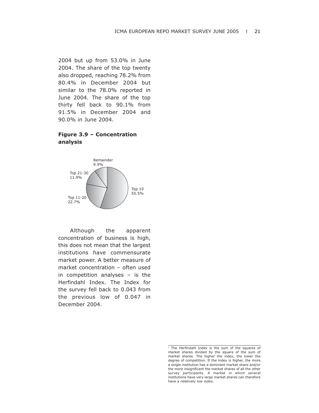2004 but up from 53.0% in June 2004. The share of the top twenty also dropped, reaching 78.2% from 80.4% in December 2004 but similar to the 78.0% reported in June 2004. The share of the top thirty fell back to 90.1% from 91.5% in December 2004 and 90.0% in June 2004.

# **Figure 3.9 – Concentration analysis**



Although the apparent concentration of business is high, this does not mean that the largest institutions have commensurate market power. A better measure of market concentration – often used in competition analyses – is the Herfindahl Index. The Index for the survey fell back to 0.043 from the previous low of 0.047 in December 2004.

<sup>&</sup>lt;sup>1</sup> The Herfindahl Index is the sum of the squares of market shares divided by the square of the sum of market shares. The higher the index, the lower the degree of competition. If the index is higher, the more a single institution has a dominant market share and/or the more insignificant the market shares of all the other survey participants. A market in which several institutions have very large market shares can therefore have a relatively low index.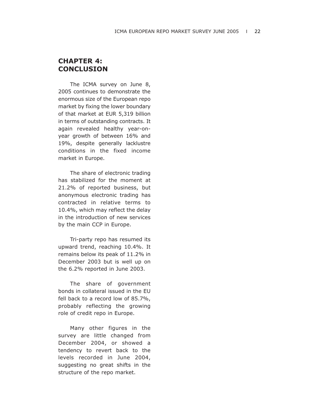# **CHAPTER 4: CONCLUSION**

The ICMA survey on June 8, 2005 continues to demonstrate the enormous size of the European repo market by fixing the lower boundary of that market at EUR 5,319 billion in terms of outstanding contracts. It again revealed healthy year-onyear growth of between 16% and 19%, despite generally lacklustre conditions in the fixed income market in Europe.

The share of electronic trading has stabilized for the moment at 21.2% of reported business, but anonymous electronic trading has contracted in relative terms to 10.4%, which may reflect the delay in the introduction of new services by the main CCP in Europe.

Tri-party repo has resumed its upward trend, reaching 10.4%. It remains below its peak of 11.2% in December 2003 but is well up on the 6.2% reported in June 2003.

The share of government bonds in collateral issued in the EU fell back to a record low of 85.7%, probably reflecting the growing role of credit repo in Europe.

Many other figures in the survey are little changed from December 2004, or showed a tendency to revert back to the levels recorded in June 2004, suggesting no great shifts in the structure of the repo market.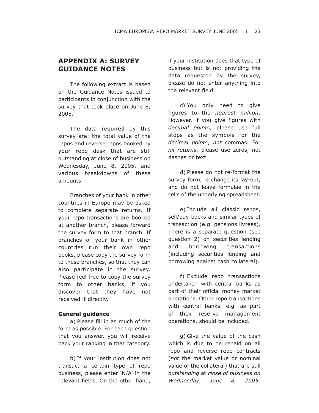# **APPENDIX A: SURVEY GUIDANCE NOTES**

The following extract is based on the Guidance Notes issued to participants in conjunction with the survey that took place on June 8, 2005.

The data required by this survey are: the total value of the repos and reverse repos booked by your repo desk that are still outstanding at close of business on Wednesday, June 8, 2005, and various breakdowns of these amounts.

Branches of your bank in other countries in Europe may be asked to complete separate returns. If your repo transactions are booked at another branch, please forward the survey form to that branch. If branches of your bank in other countries run their own repo books, please copy the survey form to these branches, so that they can also participate in the survey. Please feel free to copy the survey form to other banks, if you discover that they have not received it directly.

#### **General guidance**

a) Please fill in as much of the form as possible. For each question that you answer, you will receive back your ranking in that category.

b) If your institution does not transact a certain type of repo business, please enter 'N/A' in the relevant fields. On the other hand, if your institution does that type of business but is not providing the data requested by the survey, please do not enter anything into the relevant field.

c) You only need to give figures to the *nearest million*. However, if you give figures with *decimal points*, please use full stops as the symbols for the *decimal points*, *not* commas. For *nil returns*, please use zeros, not dashes or text.

d) Please do not re-format the survey form, ie change its lay-out, and do not leave formulae in the cells of the underlying spreadsheet.

e) Include all classic repos, sell/buy-backs and similar types of transaction (e.g. pensions livrées). There is a separate question (see question 2) on securities lending and borrowing transactions (including securities lending and borrowing against cash collateral).

f) Exclude repo transactions undertaken with central banks as part of their official money market operations. Other repo transactions with central banks, e.g. as part of their reserve management operations, should be included.

g) Give the value of the cash which is due to be repaid on all repo and reverse repo contracts (*not* the market value or nominal value of the collateral) that are still *outstanding* at *close of business on Wednesday, June 8, 2005.*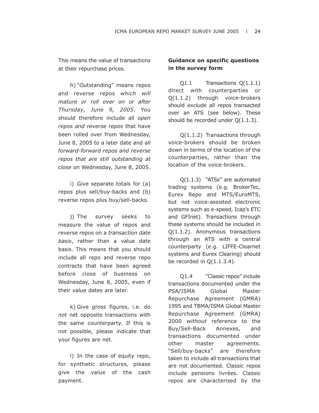This means the value of transactions at their repurchase prices.

h) "Outstanding" means repos and reverse repos *which will mature or roll over on or after Thursday, June 9, 2005*. You should therefore include all *open repos and reverse repos* that have been rolled over from Wednesday, June 8, 2005 to a later date and all *forward-forward repos and reverse repos that are still outstanding at close* on Wednesday, June 8, 2005.

i) Give separate totals for (a) repos plus sell/buy-backs and (b) reverse repos plus buy/sell-backs.

j) The survey seeks to measure the value of repos and reverse repos on a *transaction date basis*, rather than a value date basis. This means that you should include all repo and reverse repo contracts that have been agreed before close of business on Wednesday, June 8, 2005, even if their value dates are later.

k) Give *gross* figures, i.e. do *not* net opposite transactions with the same counterparty. If this is not possible, please indicate that your figures are net.

l) In the case of equity repo, for synthetic structures, please give the value of the cash payment.

# **Guidance on specific questions in the survey form**

Q1.1 Transactions Q(1.1.1) direct with counterparties or Q(1.1.2) through voice-brokers should *exclude* all repos transacted over an ATS (see below). These should be recorded under Q(1.1.3).

Q(1.1.2) Transactions through voice-brokers should be broken down in terms of the location of the counterparties, rather than the location of the voice-brokers.

Q(1.1.3) "ATSs" are automated trading systems (e.g. BrokerTec, Eurex Repo and MTS/EuroMTS, but not voice-assisted electronic systems such as e-speed, Icap's ETC and GFInet). Transactions through these systems should be included in Q(1.1.2). Anonymous transactions through an ATS with a central counterparty (e.g. LIFFE-Clearnet systems and Eurex Clearing) should be recorded in  $Q(1.1.3.4)$ .

Q1.4 "Classic repos" include transactions documented under the PSA/ISMA Global Master Repurchase Agreement (GMRA) 1995 and TBMA/ISMA Global Master Repurchase Agreement (GMRA) 2000 *without* reference to the Buy/Sell-Back Annexes, and transactions documented under other master agreements. "Sell/buy-backs" are therefore taken to include all transactions that are not documented. Classic repos include pensions livrées. Classic repos are characterised by the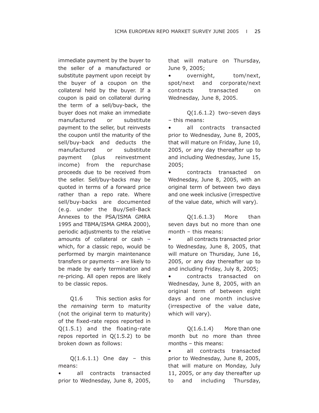immediate payment by the buyer to the seller of a manufactured or substitute payment upon receipt by the buyer of a coupon on the collateral held by the buyer. If a coupon is paid on collateral during the term of a sell/buy-back, the buyer does not make an immediate manufactured or substitute payment to the seller, but reinvests the coupon until the maturity of the sell/buy-back and deducts the manufactured or substitute payment (plus reinvestment income) from the repurchase proceeds due to be received from the seller. Sell/buy-backs may be quoted in terms of a forward price rather than a repo rate. Where sell/buy-backs are documented (e.g. under the Buy/Sell-Back Annexes to the PSA/ISMA GMRA 1995 and TBMA/ISMA GMRA 2000), periodic adjustments to the relative amounts of collateral or cash – which, for a classic repo, would be performed by margin maintenance transfers or payments – are likely to be made by early termination and re-pricing. All open repos are likely to be classic repos.

Q1.6 This section asks for the *remaining* term to maturity (not the original term to maturity) of the fixed-rate repos reported in Q(1.5.1) and the floating-rate repos reported in  $Q(1.5.2)$  to be broken down as follows:

 $Q(1.6.1.1)$  One day - this means:

all contracts transacted prior to Wednesday, June 8, 2005, that will mature on Thursday, June 9, 2005;

• overnight, tom/next, spot/next and corporate/next contracts transacted on Wednesday, June 8, 2005.

Q(1.6.1.2) two–seven days – this means:

all contracts transacted prior to Wednesday, June 8, 2005, that will mature on Friday, June 10, 2005, or any day thereafter up to and including Wednesday, June 15, 2005;

• contracts transacted on Wednesday, June 8, 2005, with an original term of between two days and one week inclusive (irrespective of the value date, which will vary).

Q(1.6.1.3) More than seven days but no more than one month – this means:

• all contracts transacted prior to Wednesday, June 8, 2005, that will mature on Thursday, June 16, 2005, or any day thereafter up to and including Friday, July 8, 2005;

• contracts transacted on Wednesday, June 8, 2005, with an original term of between eight days and one month inclusive (irrespective of the value date, which will vary).

Q(1.6.1.4) More than one month but no more than three months – this means:

• all contracts transacted prior to Wednesday, June 8, 2005, that will mature on Monday, July 11, 2005, or any day thereafter up to and including Thursday,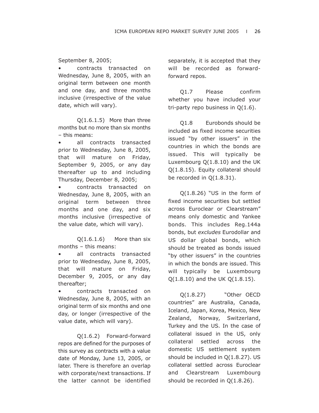September 8, 2005;

• contracts transacted on Wednesday, June 8, 2005, with an original term between one month and one day, and three months inclusive (irrespective of the value date, which will vary).

Q(1.6.1.5) More than three months but no more than six months – this means:

• all contracts transacted prior to Wednesday, June 8, 2005, that will mature on Friday, September 9, 2005, or any day thereafter up to and including Thursday, December 8, 2005;

• contracts transacted on Wednesday, June 8, 2005, with an original term between three months and one day, and six months inclusive (irrespective of the value date, which will vary).

Q(1.6.1.6) More than six months – this means:

all contracts transacted prior to Wednesday, June 8, 2005, that will mature on Friday, December 9, 2005, or any day thereafter;

• contracts transacted on Wednesday, June 8, 2005, with an original term of six months and one day, or longer (irrespective of the value date, which will vary).

Q(1.6.2) Forward-forward repos are defined for the purposes of this survey as contracts with a value date of Monday, June 13, 2005, or later. There is therefore an overlap with corporate/next transactions. If the latter cannot be identified separately, it is accepted that they will be recorded as forwardforward repos.

Q1.7 Please confirm whether you have included your tri-party repo business in Q(1.6).

Q1.8 Eurobonds should be included as fixed income securities issued "by other issuers" in the countries in which the bonds are issued. This will typically be Luxembourg Q(1.8.10) and the UK Q(1.8.15). Equity collateral should be recorded in Q(1.8.31).

Q(1.8.26) "US in the form of fixed income securities but settled across Euroclear or Clearstream" means only domestic and Yankee bonds. This includes Reg.144a bonds, but *excludes* Eurodollar and US dollar global bonds, which should be treated as bonds issued "by other issuers" in the countries in which the bonds are issued. This will typically be Luxembourg Q(1.8.10) and the UK Q(1.8.15).

Q(1.8.27) "Other OECD countries" are Australia, Canada, Iceland, Japan, Korea, Mexico, New Zealand, Norway, Switzerland, Turkey and the US. In the case of collateral issued in the US, only collateral settled across the domestic US settlement system should be included in Q(1.8.27). US collateral settled across Euroclear and Clearstream Luxembourg should be recorded in Q(1.8.26).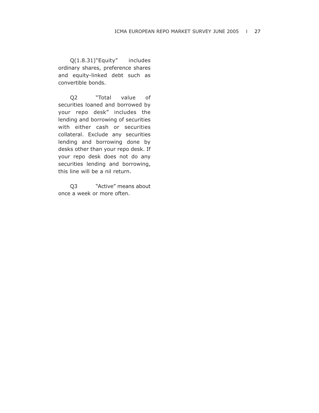Q(1.8.31)"Equity" includes ordinary shares, preference shares and equity-linked debt such as convertible bonds.

Q2 "Total value of securities loaned and borrowed by your repo desk" includes the lending and borrowing of securities with either cash or securities collateral. Exclude any securities lending and borrowing done by desks other than your repo desk. If your repo desk does not do any securities lending and borrowing, this line will be a nil return.

Q3 "Active" means about once a week or more often.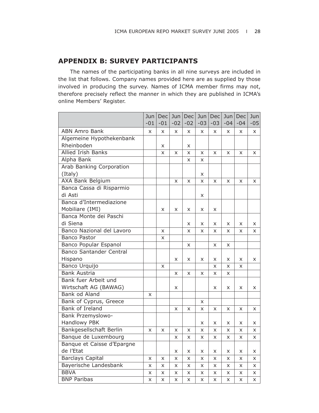# **APPENDIX B: SURVEY PARTICIPANTS**

The names of the participating banks in all nine surveys are included in the list that follows. Company names provided here are as supplied by those involved in producing the survey. Names of ICMA member firms may not, therefore precisely reflect the manner in which they are published in ICMA's online Members' Register.

|                                | Jun   | Dec   | Jun   | Dec      | Jun   | <b>Dec</b> | Jun   | Dec          | Jun   |
|--------------------------------|-------|-------|-------|----------|-------|------------|-------|--------------|-------|
|                                | $-01$ | $-01$ | $-02$ | $-02$    | $-03$ | $-03$      | $-04$ | $-04$        | $-05$ |
| <b>ABN Amro Bank</b>           | X     | X     | X     | X        | X     | X          | X     | X            | X     |
| Algemeine Hypothekenbank       |       |       |       |          |       |            |       |              |       |
| Rheinboden                     |       | X     |       | X        |       |            |       |              |       |
| <b>Allied Irish Banks</b>      |       | X     | X     | X        | X     | X          | X     | X            | X     |
| Alpha Bank                     |       |       |       | X        | X     |            |       |              |       |
| Arab Banking Corporation       |       |       |       |          |       |            |       |              |       |
| (Italy)                        |       |       |       |          | X     |            |       |              |       |
| <b>AXA Bank Belgium</b>        |       |       | X     | X        | X     | X          | X     | X            | X     |
| Banca Cassa di Risparmio       |       |       |       |          |       |            |       |              |       |
| di Asti                        |       |       |       |          | X     |            |       |              |       |
| Banca d'Intermediazione        |       |       |       |          |       |            |       |              |       |
| Mobiliare (IMI)                |       | X     | X     | X        | X     | X          |       |              |       |
| Banca Monte dei Paschi         |       |       |       |          |       |            |       |              |       |
| di Siena                       |       |       |       | X        | X     | X          | X     | X            | X     |
| Banco Nazional del Lavoro      |       | X     |       | X        | X     | X          | x     | X            | X     |
| <b>Banco Pastor</b>            |       | X     |       |          |       |            |       |              |       |
| Banco Popular Espanol          |       |       |       | X        |       | X          | X     |              |       |
| <b>Banco Santander Central</b> |       |       |       |          |       |            |       |              |       |
| Hispano                        |       |       | X     | X        | X     | X          | X     | X            | X     |
| Banco Urquijo                  |       | X     |       |          |       | X          | X     | X            |       |
| <b>Bank Austria</b>            |       |       | X     | X        | X     | X          | x     |              |       |
| Bank fuer Arbeit und           |       |       |       |          |       |            |       |              |       |
| Wirtschaft AG (BAWAG)          |       |       | X     |          |       | X          | x     | X            | X     |
| Bank od Aland                  | X     |       |       |          |       |            |       |              |       |
| Bank of Cyprus, Greece         |       |       |       |          | X     |            |       |              |       |
| <b>Bank of Ireland</b>         |       |       | X     | X        | X     | X          | X     | X            | X     |
| Bank Przemyslowo-              |       |       |       |          |       |            |       |              |       |
| Handlowy PBK                   |       |       |       |          | X     | X          | X     | X            | X     |
| <b>Bankgesellschaft Berlin</b> | X     | X     | X     | X        | X     | X          | X     | X            | X     |
| Banque de Luxembourg           |       |       | X     | X        | X     | X          | X     | X            | X     |
| Banque et Caisse d'Epargne     |       |       |       |          |       |            |       |              |       |
| de l'Etat                      |       |       | x     | X        | X     | X          | X     | X            | x     |
| <b>Barclays Capital</b>        | X     | X     | X     | X        | X     | X          | X     | $\mathsf{x}$ | X     |
| Bayerische Landesbank          | X     | X     | X     | X        | X     | X          | X     | X            | X     |
| <b>BBVA</b>                    | X     | X     | X     | X        | X     | X          | X     | X            | x     |
| <b>BNP Paribas</b>             | X     | X     | X     | $\times$ | X     | X          | X     | $\times$     | X     |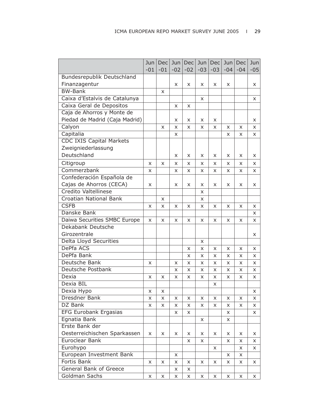|                                | Jun<br>$-01$ | Dec<br>$-01$ | Jun <sub>1</sub><br>$-02$ | Dec <br>$-02$ | Jun<br>$-03$ | Dec<br>$-03$ | Jun <br>$-04$ | Dec<br>$-04$ | Jun<br>$-05$ |
|--------------------------------|--------------|--------------|---------------------------|---------------|--------------|--------------|---------------|--------------|--------------|
| Bundesrepublik Deutschland     |              |              |                           |               |              |              |               |              |              |
| Finanzagentur                  |              |              | X                         |               | X            | X            | X             |              |              |
| <b>BW-Bank</b>                 |              |              |                           | x             |              |              |               |              | X            |
|                                |              | X            |                           |               |              |              |               |              |              |
| Caixa d'Estalvis de Catalunya  |              |              |                           |               | X            |              |               |              | X            |
| Caixa Geral de Depositos       |              |              | X                         | X             |              |              |               |              |              |
| Caja de Ahorros y Monte de     |              |              |                           |               |              |              |               |              |              |
| Piedad de Madrid (Caja Madrid) |              |              | X                         | X             | X            | x            |               |              | X            |
| Calyon                         |              | X            | X                         | X             | X            | X            | x             | X            | x            |
| Capitalia                      |              |              | x                         |               |              |              | X             | X            | X            |
| CDC IXIS Capital Markets       |              |              |                           |               |              |              |               |              |              |
| Zweigniederlassung             |              |              |                           |               |              |              |               |              |              |
| Deutschland                    |              |              | X                         | x             | x            | x            | x             | X            | X            |
| Citigroup                      | X            | X            | X                         | X             | X            | X            | X             | X            | X            |
| Commerzbank                    | X            |              | X                         | x             | X            | X            | X             | X            | x            |
| Confederación Española de      |              |              |                           |               |              |              |               |              |              |
| Cajas de Ahorros (CECA)        | X            |              | X                         | X             | X            | X            | X             | X            | X            |
| Credito Valtellinese           |              |              |                           |               | x            |              |               |              |              |
| Croatian National Bank         |              | X            |                           |               | X            |              |               |              |              |
| <b>CSFB</b>                    | X            | X            | X                         | X             | X            | X            | X             | X            | x            |
| Danske Bank                    |              |              |                           |               |              |              |               |              | X            |
| Daiwa Securities SMBC Europe   | X            | X            | X                         | X             | X            | X            | X             | X            | x            |
| Dekabank Deutsche              |              |              |                           |               |              |              |               |              |              |
| Girozentrale                   |              |              |                           |               |              |              |               |              | X            |
| <b>Delta Lloyd Securities</b>  |              |              |                           |               | X            |              |               |              |              |
| <b>DePfa ACS</b>               |              |              |                           | X             | X            | X            | X             | X            | X            |
| DePfa Bank                     |              |              |                           | X             | X            | X            | X             | X            | X            |
| Deutsche Bank                  | X            |              | X                         | X             | X            | X            | X             | X            | X            |
| Deutsche Postbank              |              |              | X                         | X             | X            | X            | X             | X            | X            |
| Dexia                          | X            | X            | X                         | x             | X            | X            | X             | X            | X            |
| Dexia BIL                      |              |              |                           |               |              | x            |               |              |              |
| Dexia Hypo                     | Χ            | X            |                           |               |              |              |               |              | X            |
| Dresdner Bank                  | X            | X            | X                         | X             | X            | X            | X             | X            | x            |
| DZ Bank                        | X            | X            | X                         | X             | X            | X            | X             | X            | X.           |
| <b>EFG Eurobank Ergasias</b>   |              |              | X                         | x             |              |              | x             |              | x            |
| Egnatia Bank                   |              |              |                           |               | X            |              | X             |              |              |
| Erste Bank der                 |              |              |                           |               |              |              |               |              |              |
| Oesterreichischen Sparkassen   | X            | x            | x                         | x             | X            | X            | x             | X            | x            |
| Euroclear Bank                 |              |              |                           | x             | X            |              | X             | X            | x            |
| Eurohypo                       |              |              |                           |               |              | X            |               | X            | x            |
| European Investment Bank       |              |              | X                         |               |              |              | X             | X            |              |
| Fortis Bank                    | X            | X            | X                         | X             | X            | X            | X             | X            | x            |
| <b>General Bank of Greece</b>  |              |              | X                         | X             |              |              |               |              |              |
| Goldman Sachs                  |              |              |                           |               |              |              |               |              |              |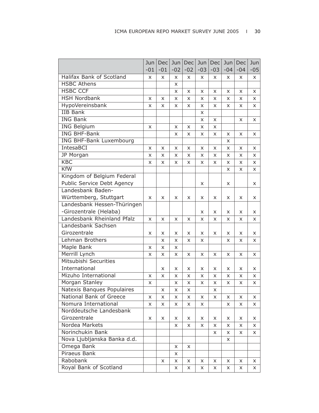|                                | Jun   | Dec   | Jun   | <b>Dec</b> | Jun   | Dec   | Jun      | Dec   | Jun   |
|--------------------------------|-------|-------|-------|------------|-------|-------|----------|-------|-------|
|                                | $-01$ | $-01$ | $-02$ | $-02$      | $-03$ | $-03$ | $-04$    | $-04$ | $-05$ |
| Halifax Bank of Scotland       | X     | X     | X     | x          | X     | X     | X        | X     | X     |
| <b>HSBC Athens</b>             |       |       | X     |            |       |       |          |       |       |
| <b>HSBC CCF</b>                |       |       | X     | X          | X     | X     | X        | X     | X     |
| <b>HSH Nordbank</b>            | x     | X     | X     | X          | X     | X     | X        | X     | X     |
| HypoVereinsbank                | X     | X     | X     | X          | X     | X     | $\times$ | X     | X     |
| <b>IIB Bank</b>                |       |       |       |            | X     |       |          |       |       |
| <b>ING Bank</b>                |       |       |       |            | X     | X     |          | X     | x     |
| <b>ING Belgium</b>             | X     |       | x     | x          | x     | X     |          |       |       |
| <b>ING BHF-Bank</b>            |       |       | X     | X          | X     | X     | X        | X     | X     |
| <b>ING BHF-Bank Luxembourg</b> |       |       |       |            |       |       | X        |       |       |
| IntesaBCI                      | x     | X     | X     | X          | X     | X     | X        | X     | X     |
| JP Morgan                      | x     | X     | X     | X          | X     | x     | X        | X     | X     |
| <b>KBC</b>                     | X     | X     | X     | X          | X     | X     | X        | X     | X     |
| <b>KfW</b>                     |       |       |       |            |       |       | X        | X     | x     |
| Kingdom of Belgium Federal     |       |       |       |            |       |       |          |       |       |
| Public Service Debt Agency     |       |       |       |            | X     |       | X        |       | x     |
| Landesbank Baden-              |       |       |       |            |       |       |          |       |       |
| Württemberg, Stuttgart         | X     | X     | X     | X          | X     | X     | X        | X     | X     |
| Landesbank Hessen-Thüringen    |       |       |       |            |       |       |          |       |       |
| -Girozentrale (Helaba)         |       |       |       |            | X     | x     | X        | X     | X     |
| Landesbank Rheinland Pfalz     | X     | X     | X     | X          | X     | X     | X        | X     | X     |
| Landesbank Sachsen             |       |       |       |            |       |       |          |       |       |
| Girozentrale                   | x     | x     | x     | X          | X     | X     | X        | X     | X     |
| Lehman Brothers                |       | X     | X     | X          | X     |       | X        | X     | X     |
| Maple Bank                     | X     | X     | X     |            |       |       |          |       |       |
| Merrill Lynch                  | x     | X     | X     | X          | X     | X     | X        | X     | X     |
| Mitsubishi Securities          |       |       |       |            |       |       |          |       |       |
| International                  |       | X     | X     | X          | X     | X     | X        | X     | X.    |
| Mizuho International           | X     | X     | X     | x          | X     | X     | X        | X     | x     |
| Morgan Stanley                 | x     |       | x     | x          | x     | x     | x        | x     | x     |
| Natexis Banques Populaires     |       | X     | x     | x          |       | x     |          |       |       |
| National Bank of Greece        | X     | X     | X     | X          | X     | X     | X        | X     | X.    |
| Nomura International           | X     | X     | X     | X          | X     |       | X        | X     | X.    |
| Norddeutsche Landesbank        |       |       |       |            |       |       |          |       |       |
| Girozentrale                   | X     | X     | X     | X          | X     | x     | X        | X     | X     |
| Nordea Markets                 |       |       | X     | X          | X     | X     | X        | X     | X.    |
| Norinchukin Bank               |       |       |       |            |       | X     | X        | X     | X.    |
| Nova Ljubljanska Banka d.d.    |       |       |       |            |       |       | X        |       |       |
| Omega Bank                     |       |       | X     | X          |       |       |          |       |       |
| Piraeus Bank                   |       |       | X     |            |       |       |          |       |       |
| Rabobank                       |       | X     | X     | X          | X     | x     | X        | X.    | x     |
| Royal Bank of Scotland         |       |       | X     | X          | X     | X.    | X.       | X     | X.    |
|                                |       |       |       |            |       |       |          |       |       |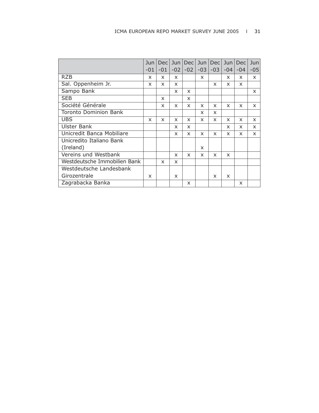|                              | Jun   | Dec          | Jun   | Dec   | Jun   | <b>Dec</b> | Jun                       | <b>Dec</b>                | Jun   |
|------------------------------|-------|--------------|-------|-------|-------|------------|---------------------------|---------------------------|-------|
|                              | $-01$ | $-01$        | $-02$ | $-02$ | $-03$ | $-03$      | -04                       | $-04$                     | $-05$ |
| <b>RZB</b>                   | x     | X            | X     |       | X     |            | X                         | X                         | X     |
| Sal. Oppenheim Jr.           | x     | X            | x     |       |       | X          | x                         | X                         |       |
| Sampo Bank                   |       |              | X     | X     |       |            |                           |                           | X     |
| <b>SEB</b>                   |       | $\times$     |       | X     |       |            |                           |                           |       |
| Société Générale             |       | X            | X     | X     | X     | $\times$   | $\mathsf{x}$              | $\boldsymbol{\mathsf{x}}$ | X     |
| <b>Toronto Dominion Bank</b> |       |              |       |       | X     | X          |                           |                           |       |
| <b>UBS</b>                   | X     | $\mathsf{x}$ | X     | X     | X     | X          | $\boldsymbol{\mathsf{x}}$ | $\boldsymbol{\mathsf{x}}$ | X     |
| Ulster Bank                  |       |              | X     | X     |       |            | X                         | X                         | X     |
| Unicredit Banca Mobiliare    |       |              | X     | X     | X     | X          | X                         | X                         | X     |
| Unicredito Italiano Bank     |       |              |       |       |       |            |                           |                           |       |
| (Ireland)                    |       |              |       |       | X     |            |                           |                           |       |
| Vereins und Westbank         |       |              | X     | X     | X     | X          | X                         |                           |       |
| Westdeutsche Immobilien Bank |       | $\times$     | X     |       |       |            |                           |                           |       |
| Westdeutsche Landesbank      |       |              |       |       |       |            |                           |                           |       |
| Girozentrale                 | x     |              | X     |       |       | X          | X                         |                           |       |
| Zagrabacka Banka             |       |              |       | X     |       |            |                           | X                         |       |